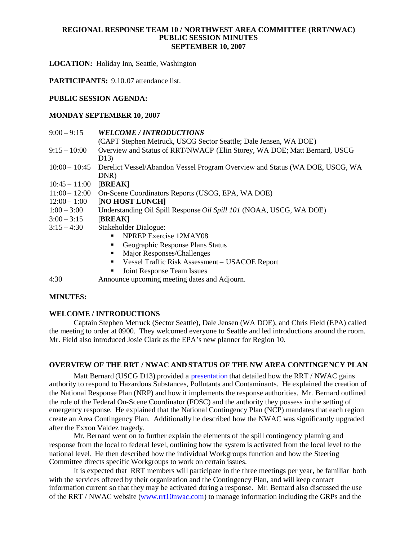### **REGIONAL RESPONSE TEAM 10 / NORTHWEST AREA COMMITTEE (RRT/NWAC) PUBLIC SESSION MINUTES SEPTEMBER 10, 2007**

**LOCATION:** Holiday Inn, Seattle, Washington

**PARTICIPANTS:** 9.10.07 attendance list.

### **PUBLIC SESSION AGENDA:**

### **MONDAY SEPTEMBER 10, 2007**

| $9:00 - 9:15$   | <b>WELCOME / INTRODUCTIONS</b>                                                                     |
|-----------------|----------------------------------------------------------------------------------------------------|
|                 | (CAPT Stephen Metruck, USCG Sector Seattle; Dale Jensen, WA DOE)                                   |
| $9:15 - 10:00$  | Overview and Status of RRT/NWACP (Elin Storey, WA DOE; Matt Bernard, USCG<br>D <sub>13</sub>       |
|                 | 10:00 – 10:45 Derelict Vessel/Abandon Vessel Program Overview and Status (WA DOE, USCG, WA<br>DNR) |
| $10:45 - 11:00$ | [BREAK]                                                                                            |
| $11:00 - 12:00$ | On-Scene Coordinators Reports (USCG, EPA, WA DOE)                                                  |
| $12:00 - 1:00$  | [NO HOST LUNCH]                                                                                    |
| $1:00 - 3:00$   | Understanding Oil Spill Response Oil Spill 101 (NOAA, USCG, WA DOE)                                |
| $3:00 - 3:15$   | [BREAK]                                                                                            |
| $3:15 - 4:30$   | Stakeholder Dialogue:                                                                              |
|                 | NPREP Exercise 12MAY08                                                                             |
|                 | Geographic Response Plans Status                                                                   |
|                 | Major Responses/Challenges                                                                         |
|                 | Vessel Traffic Risk Assessment - USACOE Report<br>٠                                                |
|                 | Joint Response Team Issues                                                                         |
| 4.30            | Announce uncoming meeting dates and Adjourn                                                        |

## 4:30 Announce upcoming meeting dates and Adjourn.

## **MINUTES:**

### **WELCOME / INTRODUCTIONS**

Captain Stephen Metruck (Sector Seattle), Dale Jensen (WA DOE), and Chris Field (EPA) called the meeting to order at 0900. They welcomed everyone to Seattle and led introductions around the room. Mr. Field also introduced Josie Clark as the EPA's new planner for Region 10.

### **OVERVIEW OF THE RRT / NWAC AND STATUS OF THE NW AREA CONTINGENCY PLAN**

Matt Bernard (USCG D13) provided a presentation that detailed how the RRT / NWAC gains authority to respond to Hazardous Substances, Pollutants and Contaminants. He explained the creation of the National Response Plan (NRP) and how it implements the response authorities. Mr. Bernard outlined the role of the Federal On-Scene Coordinator (FOSC) and the authority they possess in the setting of emergency response. He explained that the National Contingency Plan (NCP) mandates that each region create an Area Contingency Plan. Additionally he described how the NWAC was significantly upgraded after the Exxon Valdez tragedy.

Mr. Bernard went on to further explain the elements of the spill contingency planning and response from the local to federal level, outlining how the system is activated from the local level to the national level. He then described how the individual Workgroups function and how the Steering Committee directs specific Workgroups to work on certain issues.

It is expected that RRT members will participate in the three meetings per year, be familiar both with the services offered by their organization and the Contingency Plan, and will keep contact information current so that they may be activated during a response. Mr. Bernard also discussed the use of the RRT / NWAC website (www.rrt10nwac.com) to manage information including the GRPs and the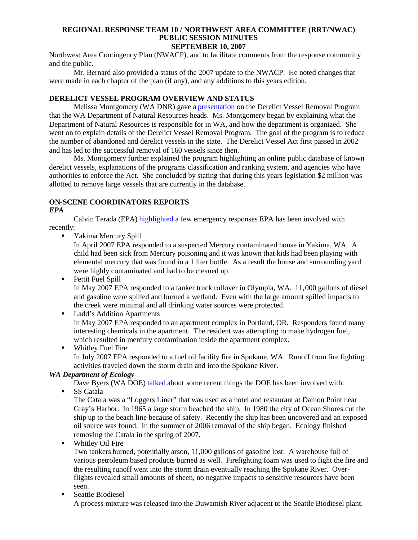### **REGIONAL RESPONSE TEAM 10 / NORTHWEST AREA COMMITTEE (RRT/NWAC) PUBLIC SESSION MINUTES SEPTEMBER 10, 2007**

Northwest Area Contingency Plan (NWACP), and to facilitate comments from the response community and the public.

Mr. Bernard also provided a status of the 2007 update to the NWACP. He noted changes that were made in each chapter of the plan (if any), and any additions to this years edition.

# **DERELICT VESSEL PROGRAM OVERVIEW AND STATUS**

Melissa Montgomery (WA DNR) gave a **presentation** on the Derelict Vessel Removal Program that the WA Department of Natural Resources heads. Ms. Montgomery began by explaining what the Department of Natural Resources is responsible for in WA, and how the department is organized. She went on to explain details of the Derelict Vessel Removal Program. The goal of the program is to reduce the number of abandoned and derelict vessels in the state. The Derelict Vessel Act first passed in 2002 and has led to the successful removal of 160 vessels since then.

Ms. Montgomery further explained the program highlighting an online public database of known derelict vessels, explanations of the programs classification and ranking system, and agencies who have authorities to enforce the Act. She concluded by stating that during this years legislation \$2 million was allotted to remove large vessels that are currently in the database.

# **ON-SCENE COORDINATORS REPORTS**

## *EPA*

Calvin Terada (EPA) highlighted a few emergency responses EPA has been involved with recently:

Yakima Mercury Spill

In April 2007 EPA responded to a suspected Mercury contaminated house in Yakima, WA. A child had been sick from Mercury poisoning and it was known that kids had been playing with elemental mercury that was found in a 1 liter bottle. As a result the house and surrounding yard were highly contaminated and had to be cleaned up.

- **Pettit Fuel Spill** In May 2007 EPA responded to a tanker truck rollover in Olympia, WA. 11,000 gallons of diesel and gasoline were spilled and burned a wetland. Even with the large amount spilled impacts to the creek were minimal and all drinking water sources were protected.
- **Ladd's Addition Apartments**

In May 2007 EPA responded to an apartment complex in Portland, OR. Responders found many interesting chemicals in the apartment. The resident was attempting to make hydrogen fuel, which resulted in mercury contamination inside the apartment complex.

**Whitley Fuel Fire** 

In July 2007 EPA responded to a fuel oil facility fire in Spokane, WA. Runoff from fire fighting activities traveled down the storm drain and into the Spokane River.

# *WA Department of Ecology*

Dave Byers (WA DOE) talked about some recent things the DOE has been involved with:

SS Catala

The Catala was a "Loggers Liner" that was used as a hotel and restaurant at Damon Point near Gray's Harbor. In 1965 a large storm beached the ship. In 1980 the city of Ocean Shores cut the ship up to the beach line because of safety. Recently the ship has been uncovered and an exposed oil source was found. In the summer of 2006 removal of the ship began. Ecology finished removing the Catala in the spring of 2007.

**Whitley Oil Fire** 

Two tankers burned, potentially arson, 11,000 gallons of gasoline lost. A warehouse full of various petroleum based products burned as well. Firefighting foam was used to fight the fire and the resulting runoff went into the storm drain eventually reaching the Spokane River. Overflights revealed small amounts of sheen, no negative impacts to sensitive resources have been seen.

Seattle Biodiesel

A process mixture was released into the Duwamish River adjacent to the Seattle Biodiesel plant.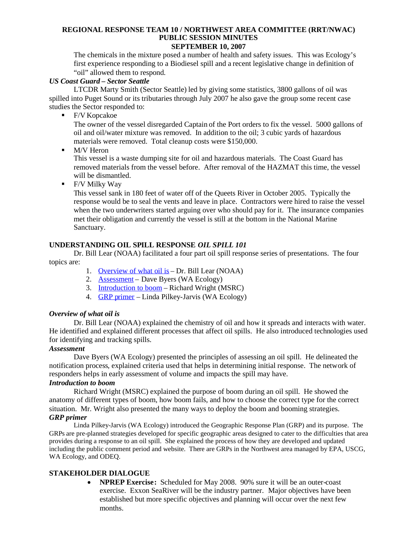# **REGIONAL RESPONSE TEAM 10 / NORTHWEST AREA COMMITTEE (RRT/NWAC) PUBLIC SESSION MINUTES**

# **SEPTEMBER 10, 2007**

The chemicals in the mixture posed a number of health and safety issues. This was Ecology's first experience responding to a Biodiesel spill and a recent legislative change in definition of "oil" allowed them to respond.

## *US Coast Guard – Sector Seattle*

LTCDR Marty Smith (Sector Seattle) led by giving some statistics, 3800 gallons of oil was spilled into Puget Sound or its tributaries through July 2007 he also gave the group some recent case studies the Sector responded to:

■ F/V Kopcakoe

The owner of the vessel disregarded Captain of the Port orders to fix the vessel. 5000 gallons of oil and oil/water mixture was removed. In addition to the oil; 3 cubic yards of hazardous materials were removed. Total cleanup costs were \$150,000.

• M/V Heron

This vessel is a waste dumping site for oil and hazardous materials. The Coast Guard has removed materials from the vessel before. After removal of the HAZMAT this time, the vessel will be dismantled.

**Fig. 1** F/V Milky Way

This vessel sank in 180 feet of water off of the Queets River in October 2005. Typically the response would be to seal the vents and leave in place. Contractors were hired to raise the vessel when the two underwriters started arguing over who should pay for it. The insurance companies met their obligation and currently the vessel is still at the bottom in the National Marine Sanctuary.

## **UNDERSTANDING OIL SPILL RESPONSE** *OIL SPILL 101*

Dr. Bill Lear (NOAA) facilitated a four part oil spill response series of presentations. The four topics are:

- 1. Overview of what oil is Dr. Bill Lear (NOAA)
- 2. Assessment Dave Byers (WA Ecology)
- 3. Introduction to boom Richard Wright (MSRC)
- 4. GRP primer Linda Pilkey-Jarvis (WA Ecology)

## *Overview of what oil is*

Dr. Bill Lear (NOAA) explained the chemistry of oil and how it spreads and interacts with water. He identified and explained different processes that affect oil spills. He also introduced technologies used for identifying and tracking spills.

# *Assessment*

Dave Byers (WA Ecology) presented the principles of assessing an oil spill. He delineated the notification process, explained criteria used that helps in determining initial response. The network of responders helps in early assessment of volume and impacts the spill may have.

# *Introduction to boom*

Richard Wright (MSRC) explained the purpose of boom during an oil spill. He showed the anatomy of different types of boom, how boom fails, and how to choose the correct type for the correct situation. Mr. Wright also presented the many ways to deploy the boom and booming strategies. *GRP primer*

Linda Pilkey-Jarvis (WA Ecology) introduced the Geographic Response Plan (GRP) and its purpose. The GRPs are pre-planned strategies developed for specific geographic areas designed to cater to the difficulties that area provides during a response to an oil spill. She explained the process of how they are developed and updated including the public comment period and website. There are GRPs in the Northwest area managed by EPA, USCG, WA Ecology, and ODEQ.

# **STAKEHOLDER DIALOGUE**

 **NPREP Exercise:** Scheduled for May 2008. 90% sure it will be an outer-coast exercise. Exxon SeaRiver will be the industry partner. Major objectives have been established but more specific objectives and planning will occur over the next few months.